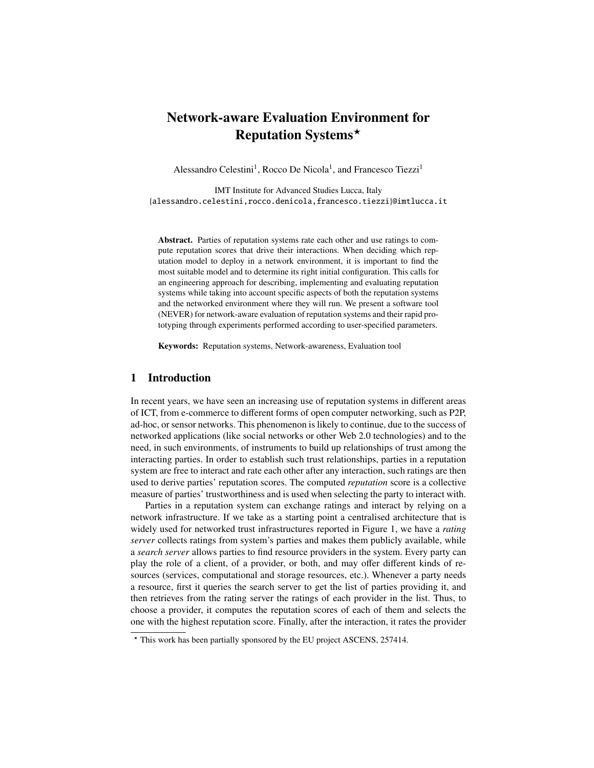# Network-aware Evaluation Environment for Reputation Systems?

Alessandro Celestini<sup>1</sup>, Rocco De Nicola<sup>1</sup>, and Francesco Tiezzi<sup>1</sup>

IMT Institute for Advanced Studies Lucca, Italy {alessandro.celestini,rocco.denicola,francesco.tiezzi}@imtlucca.it

Abstract. Parties of reputation systems rate each other and use ratings to compute reputation scores that drive their interactions. When deciding which reputation model to deploy in a network environment, it is important to find the most suitable model and to determine its right initial configuration. This calls for an engineering approach for describing, implementing and evaluating reputation systems while taking into account specific aspects of both the reputation systems and the networked environment where they will run. We present a software tool (NEVER) for network-aware evaluation of reputation systems and their rapid prototyping through experiments performed according to user-specified parameters.

Keywords: Reputation systems, Network-awareness, Evaluation tool

## 1 Introduction

In recent years, we have seen an increasing use of reputation systems in different areas of ICT, from e-commerce to different forms of open computer networking, such as P2P, ad-hoc, or sensor networks. This phenomenon is likely to continue, due to the success of networked applications (like social networks or other Web 2.0 technologies) and to the need, in such environments, of instruments to build up relationships of trust among the interacting parties. In order to establish such trust relationships, parties in a reputation system are free to interact and rate each other after any interaction, such ratings are then used to derive parties' reputation scores. The computed *reputation* score is a collective measure of parties' trustworthiness and is used when selecting the party to interact with.

Parties in a reputation system can exchange ratings and interact by relying on a network infrastructure. If we take as a starting point a centralised architecture that is widely used for networked trust infrastructures reported in Figure 1, we have a *rating server* collects ratings from system's parties and makes them publicly available, while a *search server* allows parties to find resource providers in the system. Every party can play the role of a client, of a provider, or both, and may offer different kinds of resources (services, computational and storage resources, etc.). Whenever a party needs a resource, first it queries the search server to get the list of parties providing it, and then retrieves from the rating server the ratings of each provider in the list. Thus, to choose a provider, it computes the reputation scores of each of them and selects the one with the highest reputation score. Finally, after the interaction, it rates the provider

<sup>?</sup> This work has been partially sponsored by the EU project ASCENS, 257414.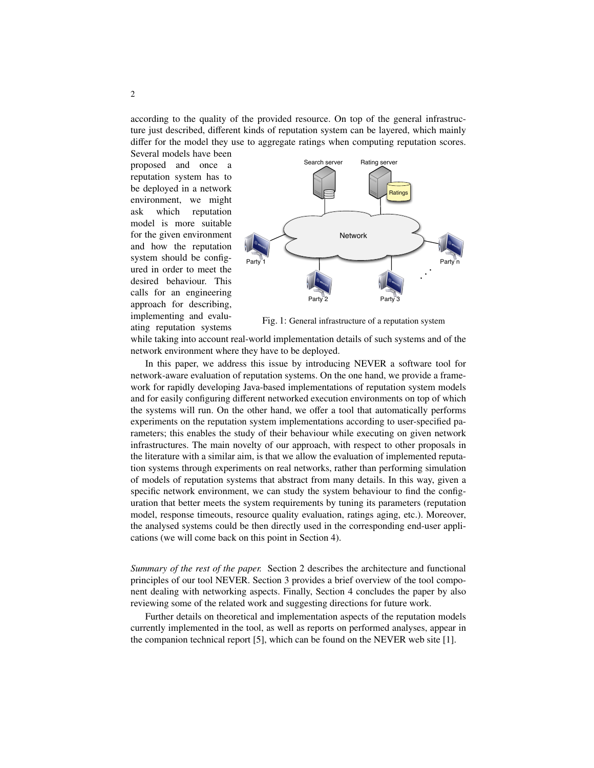according to the quality of the provided resource. On top of the general infrastructure just described, different kinds of reputation system can be layered, which mainly differ for the model they use to aggregate ratings when computing reputation scores.

Several models have been proposed and once a reputation system has to be deployed in a network environment, we might ask which reputation model is more suitable for the given environment and how the reputation system should be configured in order to meet the desired behaviour. This calls for an engineering approach for describing, implementing and evaluating reputation systems



Fig. 1: General infrastructure of a reputation system

while taking into account real-world implementation details of such systems and of the network environment where they have to be deployed.

In this paper, we address this issue by introducing NEVER a software tool for network-aware evaluation of reputation systems. On the one hand, we provide a framework for rapidly developing Java-based implementations of reputation system models and for easily configuring different networked execution environments on top of which the systems will run. On the other hand, we offer a tool that automatically performs experiments on the reputation system implementations according to user-specified parameters; this enables the study of their behaviour while executing on given network infrastructures. The main novelty of our approach, with respect to other proposals in the literature with a similar aim, is that we allow the evaluation of implemented reputation systems through experiments on real networks, rather than performing simulation of models of reputation systems that abstract from many details. In this way, given a specific network environment, we can study the system behaviour to find the configuration that better meets the system requirements by tuning its parameters (reputation model, response timeouts, resource quality evaluation, ratings aging, etc.). Moreover, the analysed systems could be then directly used in the corresponding end-user applications (we will come back on this point in Section 4).

*Summary of the rest of the paper.* Section 2 describes the architecture and functional principles of our tool NEVER. Section 3 provides a brief overview of the tool component dealing with networking aspects. Finally, Section 4 concludes the paper by also reviewing some of the related work and suggesting directions for future work.

Further details on theoretical and implementation aspects of the reputation models currently implemented in the tool, as well as reports on performed analyses, appear in the companion technical report [5], which can be found on the NEVER web site [1].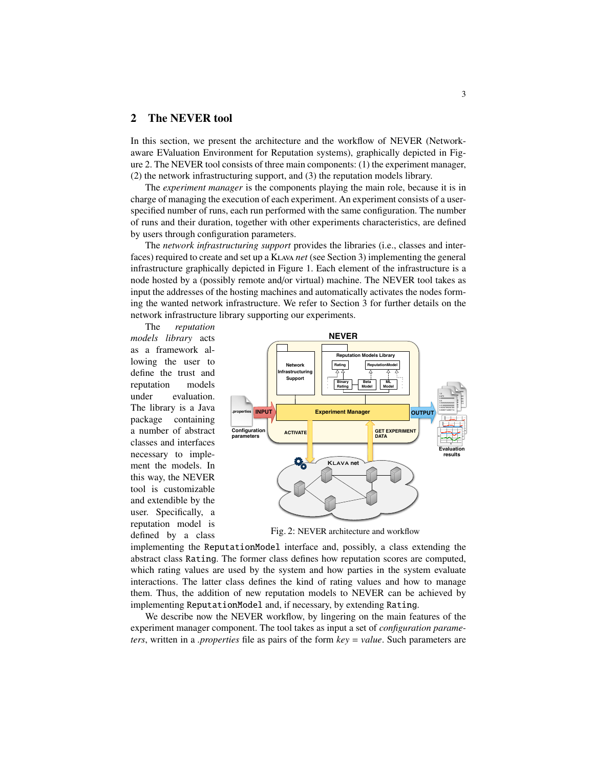### 2 The NEVER tool

In this section, we present the architecture and the workflow of NEVER (Networkaware EValuation Environment for Reputation systems), graphically depicted in Figure 2. The NEVER tool consists of three main components: (1) the experiment manager, (2) the network infrastructuring support, and (3) the reputation models library.

The *experiment manager* is the components playing the main role, because it is in charge of managing the execution of each experiment. An experiment consists of a userspecified number of runs, each run performed with the same configuration. The number of runs and their duration, together with other experiments characteristics, are defined by users through configuration parameters.

The *network infrastructuring support* provides the libraries (i.e., classes and interfaces) required to create and set up a Klava *net* (see Section 3) implementing the general infrastructure graphically depicted in Figure 1. Each element of the infrastructure is a node hosted by a (possibly remote and/or virtual) machine. The NEVER tool takes as input the addresses of the hosting machines and automatically activates the nodes forming the wanted network infrastructure. We refer to Section 3 for further details on the network infrastructure library supporting our experiments.

The *reputation models library* acts as a framework allowing the user to define the trust and reputation models under evaluation. The library is a Java package containing a number of abstract classes and interfaces necessary to implement the models. In this way, the NEVER tool is customizable and extendible by the user. Specifically, a reputation model is defined by a class



Fig. 2: NEVER architecture and workflow

implementing the ReputationModel interface and, possibly, a class extending the abstract class Rating. The former class defines how reputation scores are computed, which rating values are used by the system and how parties in the system evaluate interactions. The latter class defines the kind of rating values and how to manage them. Thus, the addition of new reputation models to NEVER can be achieved by implementing ReputationModel and, if necessary, by extending Rating.

We describe now the NEVER workflow, by lingering on the main features of the experiment manager component. The tool takes as input a set of *configuration parameters*, written in a *.properties* file as pairs of the form *key* = *value*. Such parameters are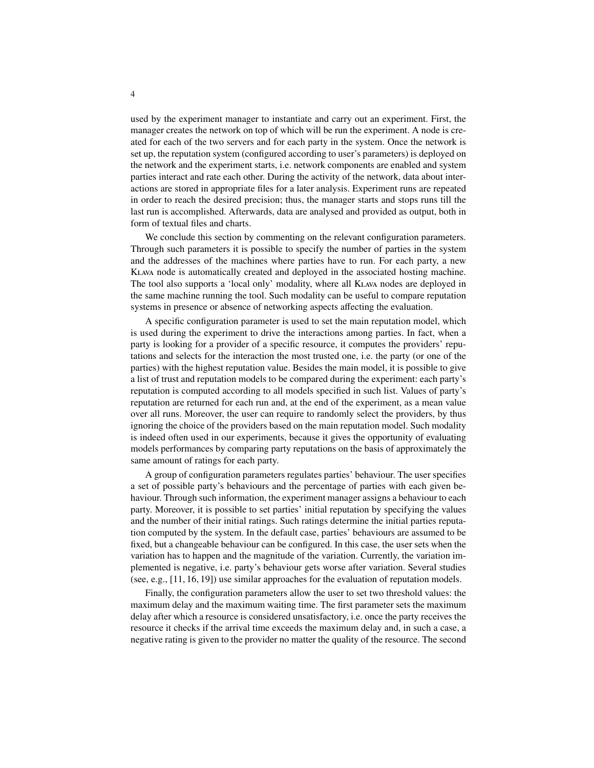used by the experiment manager to instantiate and carry out an experiment. First, the manager creates the network on top of which will be run the experiment. A node is created for each of the two servers and for each party in the system. Once the network is set up, the reputation system (configured according to user's parameters) is deployed on the network and the experiment starts, i.e. network components are enabled and system parties interact and rate each other. During the activity of the network, data about interactions are stored in appropriate files for a later analysis. Experiment runs are repeated in order to reach the desired precision; thus, the manager starts and stops runs till the last run is accomplished. Afterwards, data are analysed and provided as output, both in form of textual files and charts.

We conclude this section by commenting on the relevant configuration parameters. Through such parameters it is possible to specify the number of parties in the system and the addresses of the machines where parties have to run. For each party, a new Klava node is automatically created and deployed in the associated hosting machine. The tool also supports a 'local only' modality, where all Klava nodes are deployed in the same machine running the tool. Such modality can be useful to compare reputation systems in presence or absence of networking aspects affecting the evaluation.

A specific configuration parameter is used to set the main reputation model, which is used during the experiment to drive the interactions among parties. In fact, when a party is looking for a provider of a specific resource, it computes the providers' reputations and selects for the interaction the most trusted one, i.e. the party (or one of the parties) with the highest reputation value. Besides the main model, it is possible to give a list of trust and reputation models to be compared during the experiment: each party's reputation is computed according to all models specified in such list. Values of party's reputation are returned for each run and, at the end of the experiment, as a mean value over all runs. Moreover, the user can require to randomly select the providers, by thus ignoring the choice of the providers based on the main reputation model. Such modality is indeed often used in our experiments, because it gives the opportunity of evaluating models performances by comparing party reputations on the basis of approximately the same amount of ratings for each party.

A group of configuration parameters regulates parties' behaviour. The user specifies a set of possible party's behaviours and the percentage of parties with each given behaviour. Through such information, the experiment manager assigns a behaviour to each party. Moreover, it is possible to set parties' initial reputation by specifying the values and the number of their initial ratings. Such ratings determine the initial parties reputation computed by the system. In the default case, parties' behaviours are assumed to be fixed, but a changeable behaviour can be configured. In this case, the user sets when the variation has to happen and the magnitude of the variation. Currently, the variation implemented is negative, i.e. party's behaviour gets worse after variation. Several studies (see, e.g., [11, 16, 19]) use similar approaches for the evaluation of reputation models.

Finally, the configuration parameters allow the user to set two threshold values: the maximum delay and the maximum waiting time. The first parameter sets the maximum delay after which a resource is considered unsatisfactory, i.e. once the party receives the resource it checks if the arrival time exceeds the maximum delay and, in such a case, a negative rating is given to the provider no matter the quality of the resource. The second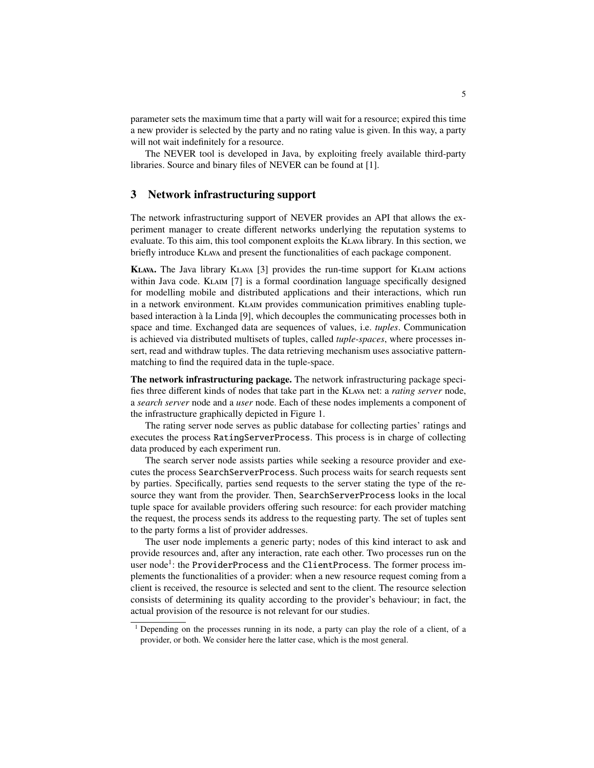parameter sets the maximum time that a party will wait for a resource; expired this time a new provider is selected by the party and no rating value is given. In this way, a party will not wait indefinitely for a resource.

The NEVER tool is developed in Java, by exploiting freely available third-party libraries. Source and binary files of NEVER can be found at [1].

#### 3 Network infrastructuring support

The network infrastructuring support of NEVER provides an API that allows the experiment manager to create different networks underlying the reputation systems to evaluate. To this aim, this tool component exploits the Klava library. In this section, we briefly introduce Klava and present the functionalities of each package component.

KLAVA. The Java library KLAVA [3] provides the run-time support for KLAIM actions within Java code. KLAIM [7] is a formal coordination language specifically designed for modelling mobile and distributed applications and their interactions, which run in a network environment. Klaim provides communication primitives enabling tuplebased interaction a la Linda [9], which decouples the communicating processes both in ` space and time. Exchanged data are sequences of values, i.e. *tuples*. Communication is achieved via distributed multisets of tuples, called *tuple-spaces*, where processes insert, read and withdraw tuples. The data retrieving mechanism uses associative patternmatching to find the required data in the tuple-space.

The network infrastructuring package. The network infrastructuring package specifies three different kinds of nodes that take part in the Klava net: a *rating server* node, a *search server* node and a *user* node. Each of these nodes implements a component of the infrastructure graphically depicted in Figure 1.

The rating server node serves as public database for collecting parties' ratings and executes the process RatingServerProcess. This process is in charge of collecting data produced by each experiment run.

The search server node assists parties while seeking a resource provider and executes the process SearchServerProcess. Such process waits for search requests sent by parties. Specifically, parties send requests to the server stating the type of the resource they want from the provider. Then, SearchServerProcess looks in the local tuple space for available providers offering such resource: for each provider matching the request, the process sends its address to the requesting party. The set of tuples sent to the party forms a list of provider addresses.

The user node implements a generic party; nodes of this kind interact to ask and provide resources and, after any interaction, rate each other. Two processes run on the user node<sup>1</sup>: the ProviderProcess and the ClientProcess. The former process implements the functionalities of a provider: when a new resource request coming from a client is received, the resource is selected and sent to the client. The resource selection consists of determining its quality according to the provider's behaviour; in fact, the actual provision of the resource is not relevant for our studies.

<sup>&</sup>lt;sup>1</sup> Depending on the processes running in its node, a party can play the role of a client, of a provider, or both. We consider here the latter case, which is the most general.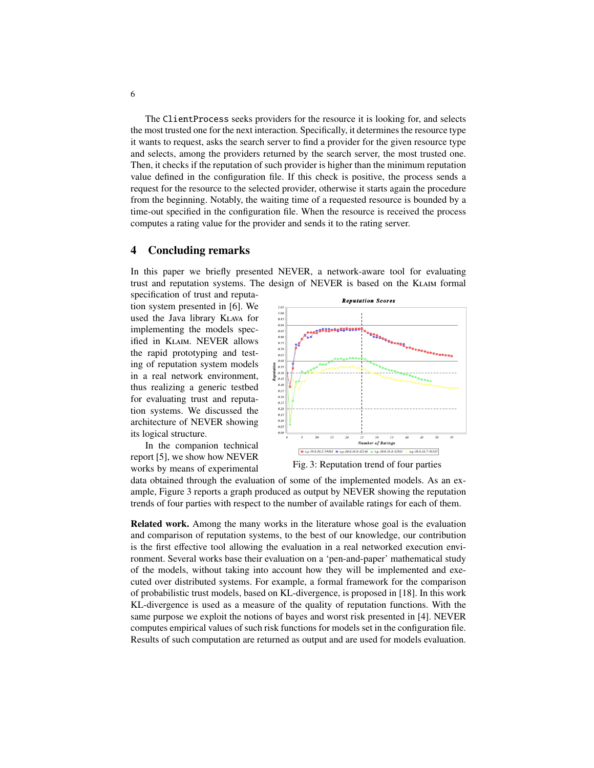The ClientProcess seeks providers for the resource it is looking for, and selects the most trusted one for the next interaction. Specifically, it determines the resource type it wants to request, asks the search server to find a provider for the given resource type and selects, among the providers returned by the search server, the most trusted one. Then, it checks if the reputation of such provider is higher than the minimum reputation value defined in the configuration file. If this check is positive, the process sends a request for the resource to the selected provider, otherwise it starts again the procedure from the beginning. Notably, the waiting time of a requested resource is bounded by a time-out specified in the configuration file. When the resource is received the process computes a rating value for the provider and sends it to the rating server.

#### 4 Concluding remarks

In this paper we briefly presented NEVER, a network-aware tool for evaluating trust and reputation systems. The design of NEVER is based on the KLAIM formal

specification of trust and reputation system presented in [6]. We used the Java library Klava for implementing the models specified in KLAIM. NEVER allows the rapid prototyping and testing of reputation system models in a real network environment, thus realizing a generic testbed for evaluating trust and reputation systems. We discussed the architecture of NEVER showing its logical structure.

In the companion technical report [5], we show how NEVER works by means of experimental



Fig. 3: Reputation trend of four parties

data obtained through the evaluation of some of the implemented models. As an example, Figure 3 reports a graph produced as output by NEVER showing the reputation trends of four parties with respect to the number of available ratings for each of them.

Related work. Among the many works in the literature whose goal is the evaluation and comparison of reputation systems, to the best of our knowledge, our contribution is the first effective tool allowing the evaluation in a real networked execution environment. Several works base their evaluation on a 'pen-and-paper' mathematical study of the models, without taking into account how they will be implemented and executed over distributed systems. For example, a formal framework for the comparison of probabilistic trust models, based on KL-divergence, is proposed in [18]. In this work KL-divergence is used as a measure of the quality of reputation functions. With the same purpose we exploit the notions of bayes and worst risk presented in [4]. NEVER computes empirical values of such risk functions for models set in the configuration file. Results of such computation are returned as output and are used for models evaluation.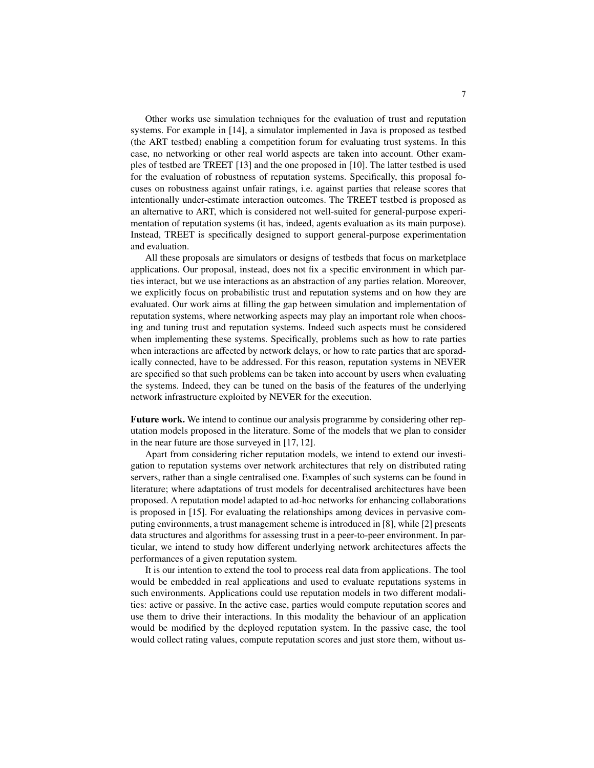Other works use simulation techniques for the evaluation of trust and reputation systems. For example in [14], a simulator implemented in Java is proposed as testbed (the ART testbed) enabling a competition forum for evaluating trust systems. In this case, no networking or other real world aspects are taken into account. Other examples of testbed are TREET [13] and the one proposed in [10]. The latter testbed is used for the evaluation of robustness of reputation systems. Specifically, this proposal focuses on robustness against unfair ratings, i.e. against parties that release scores that intentionally under-estimate interaction outcomes. The TREET testbed is proposed as an alternative to ART, which is considered not well-suited for general-purpose experimentation of reputation systems (it has, indeed, agents evaluation as its main purpose). Instead, TREET is specifically designed to support general-purpose experimentation and evaluation.

All these proposals are simulators or designs of testbeds that focus on marketplace applications. Our proposal, instead, does not fix a specific environment in which parties interact, but we use interactions as an abstraction of any parties relation. Moreover, we explicitly focus on probabilistic trust and reputation systems and on how they are evaluated. Our work aims at filling the gap between simulation and implementation of reputation systems, where networking aspects may play an important role when choosing and tuning trust and reputation systems. Indeed such aspects must be considered when implementing these systems. Specifically, problems such as how to rate parties when interactions are affected by network delays, or how to rate parties that are sporadically connected, have to be addressed. For this reason, reputation systems in NEVER are specified so that such problems can be taken into account by users when evaluating the systems. Indeed, they can be tuned on the basis of the features of the underlying network infrastructure exploited by NEVER for the execution.

Future work. We intend to continue our analysis programme by considering other reputation models proposed in the literature. Some of the models that we plan to consider in the near future are those surveyed in [17, 12].

Apart from considering richer reputation models, we intend to extend our investigation to reputation systems over network architectures that rely on distributed rating servers, rather than a single centralised one. Examples of such systems can be found in literature; where adaptations of trust models for decentralised architectures have been proposed. A reputation model adapted to ad-hoc networks for enhancing collaborations is proposed in [15]. For evaluating the relationships among devices in pervasive computing environments, a trust management scheme is introduced in [8], while [2] presents data structures and algorithms for assessing trust in a peer-to-peer environment. In particular, we intend to study how different underlying network architectures affects the performances of a given reputation system.

It is our intention to extend the tool to process real data from applications. The tool would be embedded in real applications and used to evaluate reputations systems in such environments. Applications could use reputation models in two different modalities: active or passive. In the active case, parties would compute reputation scores and use them to drive their interactions. In this modality the behaviour of an application would be modified by the deployed reputation system. In the passive case, the tool would collect rating values, compute reputation scores and just store them, without us